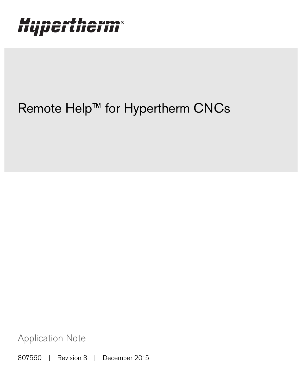# Hypertherm®

## Remote Help™ for Hypertherm CNCs

Application Note

807560 | Revision 3 | December 2015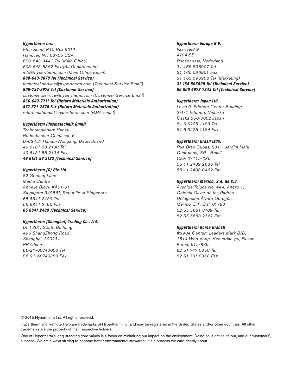Hypertherm Inc. Etna Road, P.O. Box 5010 Hanover, NH 03755 USA 603-643-3441 Tel (Main Office) 603-643-5352 Fax (All Departments) info@hypertherm.com (Main Office Email) 800-643-9878 Tel (Technical Service) technical.service@hypertherm.com (Technical Service Email)

800-737-2978 Tel (Customer Service) customer.service@hypertherm.com (Customer Service Email) 866-643-7711 Tel (Return Materials Authorization) 877-371-2876 Fax (Return Materials Authorization) return.materials@hypertherm.com (RMA email)

#### Hypertherm Plasmatechnik GmbH

Technologiepark Hanau Rodenbacher Chaussee 6 D-63457 Hanau-Wolfgang, Deutschland 49 6181 58 2100 Tel 49 6181 58 2134 Fax 49 6181 58 2123 (Technical Service)

#### Hypertherm (S) Pte Ltd.

82 Genting Lane Media Centre Annexe Block #A01-01 Singapore 349567, Republic of Singapore 65 6841 2489 Tel 65 6841 2490 Fax 65 6841 2489 (Technical Service)

#### Hypertherm (Shanghai) Trading Co., Ltd.

Unit 301, South Building 495 ShangZhong Road Shanghai, 200231 PR China 86-21-60740003 Tel 86-21-60740393 Fax

#### Hypertherm Europe B.V.

Vaartveld 9 4704 SE Roosendaal, Nederland 31 165 596907 Tel 31 165 596901 Fax 31 165 596908 Tel (Marketing) 31 165 596900 Tel (Technical Service) 00 800 4973 7843 Tel (Technical Service)

#### Hypertherm Japan Ltd.

Level 9, Edobori Center Building 2-1-1 Edobori, Nishi-ku Osaka 550-0002 Japan 81 6 6225 1183 Tel 81 6 6225 1184 Fax

#### Hypertherm Brasil Ltda.

Rua Bras Cubas, 231 – Jardim Maia Guarulhos, SP - Brasil CEP 07115-030 55 11 2409 2636 Tel 55 11 2408 0462 Fax

#### Hypertherm México, S.A. de C.V.

Avenida Toluca No. 444, Anexo 1, Colonia Olivar de los Padres Delegación Álvaro Obregón México, D.F. C.P. 01780 52 55 5681 8109 Tel 52 55 5683 2127 Fax

#### Hypertherm Korea Branch

#3904 Centum Leaders Mark B/D, 1514 Woo-dong, Haeundae-gu, Busan Korea, 612-889 82 51 747 0358 Tel 82 51 701 0358 Fax

© 2015 Hypertherm Inc. All rights reserved.

Hypertherm and Remote Help are trademarks of Hypertherm Inc. and may be registered in the United States and/or other countries. All other trademarks are the property of their respective holders.

One of Hypertherm's long-standing core values is a focus on minimizing our impact on the environment. Doing so is critical to our, and our customers', success. We are always striving to become better environmental stewards; it is a process we care deeply about.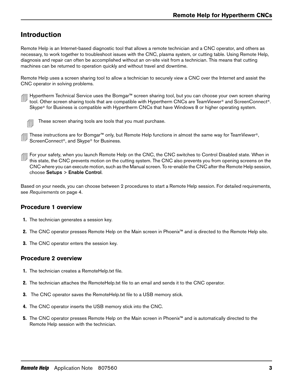## **Introduction**

Remote Help is an Internet-based diagnostic tool that allows a remote technician and a CNC operator, and others as necessary, to work together to troubleshoot issues with the CNC, plasma system, or cutting table. Using Remote Help, diagnosis and repair can often be accomplished without an on-site visit from a technician. This means that cutting machines can be returned to operation quickly and without travel and downtime.

Remote Help uses a screen sharing tool to allow a technician to securely view a CNC over the Internet and assist the CNC operator in solving problems.

 Hypertherm Technical Service uses the Bomgar™ screen sharing tool, but you can choose your own screen sharing tool. Other screen sharing tools that are compatible with Hypertherm CNCs are TeamViewer® and ScreenConnect®. Skype® for Business is compatible with Hypertherm CNCs that have Windows 8 or higher operating system.



These screen sharing tools are tools that you must purchase.

- These instructions are for Bomgar™ only, but Remote Help functions in almost the same way for TeamViewer®, ScreenConnect®, and Skype® for Business.
- For your safety, when you launch Remote Help on the CNC, the CNC switches to Control Disabled state. When in this state, the CNC prevents motion on the cutting system. The CNC also prevents you from opening screens on the CNC where you can execute motion, such as the Manual screen. To re-enable the CNC after the Remote Help session, choose Setups > Enable Control.

Based on your needs, you can choose between 2 procedures to start a Remote Help session. For detailed requirements, see [Requirements](#page-3-0) on page 4.

## **Procedure 1 overview**

- 1. The technician generates a session key.
- 2. The CNC operator presses Remote Help on the Main screen in Phoenix™ and is directed to the Remote Help site.
- **3.** The CNC operator enters the session key.

## **Procedure 2 overview**

- 1. The technician creates a RemoteHelp.txt file.
- 2. The technician attaches the RemoteHelp.txt file to an email and sends it to the CNC operator.
- **3.** The CNC operator saves the RemoteHelp.txt file to a USB memory stick.
- 4. The CNC operator inserts the USB memory stick into the CNC.
- 5. The CNC operator presses Remote Help on the Main screen in Phoenix™ and is automatically directed to the Remote Help session with the technician.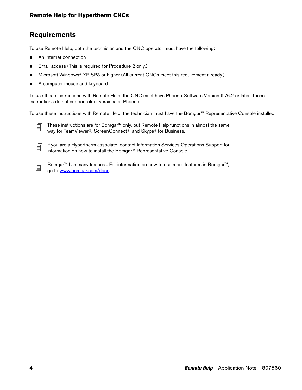## <span id="page-3-0"></span>**Requirements**

To use Remote Help, both the technician and the CNC operator must have the following:

- An Internet connection
- Email access (This is required for Procedure 2 only.)
- Microsoft Windows<sup>®</sup> XP SP3 or higher (All current CNCs meet this requirement already.)
- A computer mouse and keyboard

To use these instructions with Remote Help, the CNC must have Phoenix Software Version 9.76.2 or later. These instructions do not support older versions of Phoenix.

To use these instructions with Remote Help, the technician must have the Bomgar™ Representative Console installed.



- <u>■</u> These instructions are for Bomgar<sup>™</sup> only, but Remote Help functions in almost the same way for TeamViewer®, ScreenConnect®, and Skype® for Business.
- If you are a Hypertherm associate, contact Information Services Operations Support for information on how to install the Bomgar™ Representative Console.
- Bomgar™ has many features. For information on how to use more features in Bomgar™, go to www.bomgar.com/docs.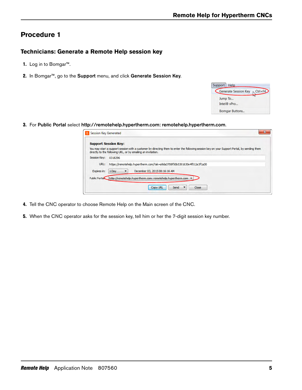## <span id="page-4-0"></span>**Procedure 1**

## **Technicians: Generate a Remote Help session key**

- 1. Log in to Bomgar™.
- 2. In Bomgar<sup>™</sup>, go to the Support menu, and click Generate Session Key.

| Support   Help                                   |
|--------------------------------------------------|
| <b>Generate Session Key</b><br>$\ltimes$ Ctrl+F4 |
| Jump To                                          |
| Intel <sup>®</sup> vPro                          |
| <b>Bomgar Buttons</b>                            |

3. For Public Portal select http://remotehelp.hypertherm.com: remotehelp.hypertherm.com.

|              | <b>Support Session Key:</b><br>You may start a support session with a customer by directing them to enter the following session key on your Support Portal, by sending them |
|--------------|-----------------------------------------------------------------------------------------------------------------------------------------------------------------------------|
|              | directly to the following URL, or by emailing an invitation.                                                                                                                |
| Session Key: | 0318296                                                                                                                                                                     |
| URL:         | https://remotehelp.hypertherm.com/?ak=a9da3708f50b5301630e4f012e3f1a30                                                                                                      |
| Expires in:  | December 03, 2015 08:16:16 AM<br>1 Day                                                                                                                                      |
|              | Public Portak http://remotehelp.hypertherm.com: remotehelp.hypertherm.com v                                                                                                 |

- 4. Tell the CNC operator to choose Remote Help on the Main screen of the CNC.
- 5. When the CNC operator asks for the session key, tell him or her the 7-digit session key number.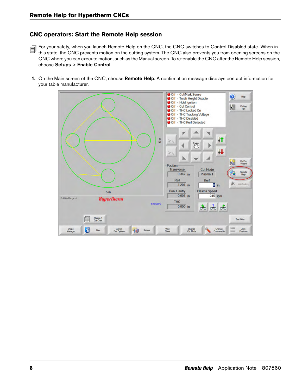## **CNC operators: Start the Remote Help session**

- For your safety, when you launch Remote Help on the CNC, the CNC switches to Control Disabled state. When in this state, the CNC prevents motion on the cutting system. The CNC also prevents you from opening screens on the CNC where you can execute motion, such as the Manual screen. To re-enable the CNC after the Remote Help session, choose Setups > Enable Control.
- 1. On the Main screen of the CNC, choose Remote Help. A confirmation message displays contact information for your table manufacturer.

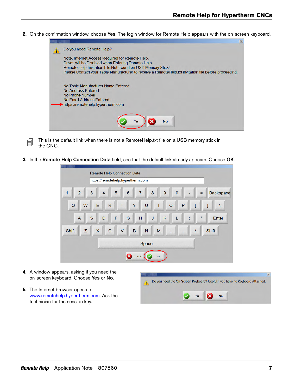2. On the confirmation window, choose Yes. The login window for Remote Help appears with the on-screen keyboard.



<del>■</del> This is the default link when there is not a RemoteHelp.txt file on a USB memory stick in the CNC.

3. In the Remote Help Connection Data field, see that the default link already appears. Choose OK.

|                                |   |                         | Remote Help Connection Data<br>https://remotehelp.hypertherm.com |             |   |        |                |              |                |        |   |              |                |           |                |   |                |   |     |                  |
|--------------------------------|---|-------------------------|------------------------------------------------------------------|-------------|---|--------|----------------|--------------|----------------|--------|---|--------------|----------------|-----------|----------------|---|----------------|---|-----|------------------|
| $\overline{2}$<br>$\mathbf{1}$ | 3 |                         | $\overline{4}$                                                   |             | 5 |        | $6\phantom{a}$ |              | $\overline{7}$ |        | 8 |              | $\overline{9}$ |           | $\overline{0}$ |   | L.             |   | $=$ | <b>Backspace</b> |
| $\mathsf Q$<br>W               |   | E                       |                                                                  | R           |   | T      |                | Y            |                | $\cup$ |   | $\mathsf{I}$ |                | $\circ$   |                | P |                | ĺ |     | 1                |
| $\overline{A}$                 | S |                         | D                                                                |             | F |        | G              |              | H              |        | J |              | K              |           | L              |   | ٠<br>$\lambda$ |   | ٠   | Enter            |
| Z<br>Shift                     |   | $\overline{\mathsf{x}}$ |                                                                  | $\mathbf C$ |   | $\vee$ |                | $\, {\bf B}$ |                | N      |   | M            |                | $\lambda$ |                |   |                |   |     | Shift            |
| Space                          |   |                         |                                                                  |             |   |        |                |              |                |        |   |              |                |           |                |   |                |   |     |                  |
| <b>OK</b><br>Cancel            |   |                         |                                                                  |             |   |        |                |              |                |        |   |              |                |           |                |   |                |   |     |                  |

- 4. A window appears, asking if you need the on-screen keyboard. Choose Yes or No.
- **5.** The Internet browser opens to www.remotehelp.hypertherm.com. Ask the technician for the session key.

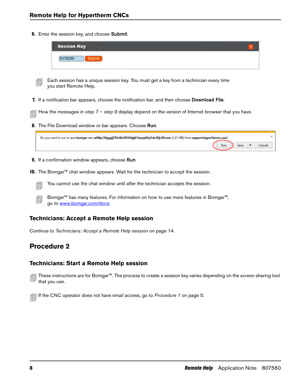**6.** Enter the session key, and choose Submit.

| <b>Session Key</b> |  |
|--------------------|--|
| 18296<br>Submit    |  |
|                    |  |

 $\equiv$  Each session has a unique session key. You must get a key from a technician every time you start Remote Help.

<span id="page-7-0"></span>7. If a notification bar appears, choose the notification bar, and then choose Download File.

How the messages in step  $7 -$  [step 9](#page-7-1) display depend on the version of Internet browser that you have.

**8.** The File Download window or bar appears. Choose Run.

| Do you want to run or save bomgar-scc-w08yc30ggyjj785d8ef856fgijd1ixyey6fej1dc40jc90.exe (2.41 MB) from support.hypertherm.com? |     |                    |        |
|---------------------------------------------------------------------------------------------------------------------------------|-----|--------------------|--------|
|                                                                                                                                 | Run | $Save \rightarrow$ | Cancel |

- <span id="page-7-1"></span>**9.** If a confirmation window appears, choose Run.
- 10. The Bomgar™ chat window appears. Wait for the technician to accept the session.

 $\equiv$  You cannot use the chat window until after the technician accepts the session.

 Bomgar™ has many features. For information on how to use more features in Bomgar™, go to www.bomgar.com/docs.

### **Technicians: Accept a Remote Help session**

Continue to [Technicians: Accept a Remote Help session](#page-13-0) on page 14.

## **Procedure 2**

## **Technicians: Start a Remote Help session**

 These instructions are for Bomgar™. The process to create a session key varies depending on the screen sharing tool that you use.

 $\equiv$  If the CNC operator does not have email access, go to [Procedure 1](#page-4-0) on page 5.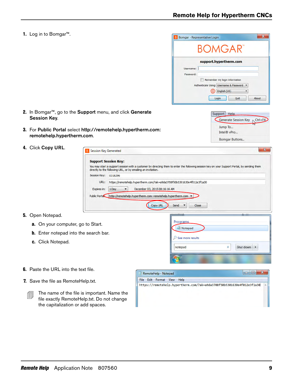1. Log in to Bomgar™.

|           | <b>BOMGAR</b>                           |
|-----------|-----------------------------------------|
|           | support.hypertherm.com                  |
| Username: |                                         |
| Password: |                                         |
|           | Remember my login information           |
|           | Authenticate Using: Username & Password |
|           | English (US)                            |
|           | About<br>Login<br>Quit                  |
|           |                                         |
|           |                                         |
|           |                                         |
|           | Support Help                            |
|           | Generate Session Key \ Ctrl+F4<br>W     |
|           | Jump To                                 |
|           | Intel® vPro                             |

- 2. In Bomgar<sup>™</sup>, go to the Support menu, and click Generate Session Key.
- 3. For Public Portal select http://remotehelp.hypertherm.com: remotehelp.hypertherm.com.
- 4. Click Copy URL.

| You may start a support session with a customer by directing them to enter the following session key on your Support Portal, by sending them<br>directly to the following URL, or by emailing an invitation. |
|--------------------------------------------------------------------------------------------------------------------------------------------------------------------------------------------------------------|
|                                                                                                                                                                                                              |
| Session Key:<br>0318296                                                                                                                                                                                      |
| https://remotehelp.hypertherm.com/?ak=a9da3708f50b5301630e4f012e3f1a30<br>URL:                                                                                                                               |
| December 03, 2015 08:16:16 AM<br>Expires in:<br>1 Day                                                                                                                                                        |
| http://remotehelp.hvpertherm.com: remotehelp.hvpertherm.com v<br><b>Public Portal</b>                                                                                                                        |
|                                                                                                                                                                                                              |
|                                                                                                                                                                                                              |
| <b>Copy URL</b><br>Send<br>Close                                                                                                                                                                             |

Notepad

 $\rho$  See more results

notepad

#### 5. Open Notepad.

- a. On your computer, go to Start.
- **b.** Enter notepad into the search bar.
- c. Click Notepad.
- **6.** Paste the URL into the text file.
- 7. Save the file as RemoteHelp.txt.
	- $\boxed{\equiv}$  The name of the file is important. Name the file exactly RemoteHelp.txt. Do not change the capitalization or add spaces.



 $\times$ 

Shut down  $\rightarrow$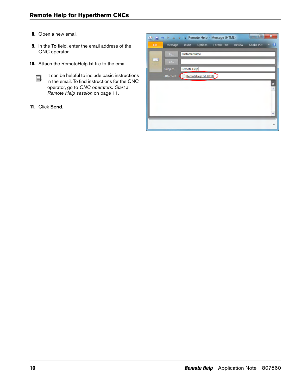- 8. Open a new email.
- 9. In the To field, enter the email address of the CNC operator.
- 10. Attach the RemoteHelp.txt file to the email.
	- $\Box$  It can be helpful to include basic instructions in the email. To find instructions for the CNC operator, go to [CNC operators: Start a](#page-10-0)  [Remote Help session](#page-10-0) on page 11.
- 11. Click Send.

|      |           |                     |                       | → B → → → Remote Help - Message (HTML) |        | $=$ $\Box$       | ×      |
|------|-----------|---------------------|-----------------------|----------------------------------------|--------|------------------|--------|
| File | Message   | Insert              |                       | Options Format Text                    | Review | <b>Adobe PDF</b> | ?<br>v |
|      | To        | <b>CustomerName</b> |                       |                                        |        |                  |        |
| $-1$ | CC        |                     |                       |                                        |        |                  |        |
|      | Subject:  | <b>Remote Help</b>  |                       |                                        |        |                  |        |
|      | Attached: |                     | RemoteHelp.txt (67 B) |                                        |        |                  |        |
|      |           |                     |                       |                                        |        |                  | 网上     |
|      |           |                     |                       |                                        |        |                  |        |
|      |           |                     |                       |                                        |        |                  |        |
|      |           |                     |                       |                                        |        |                  |        |
|      |           |                     |                       |                                        |        |                  | ÷      |
|      |           |                     |                       |                                        |        |                  | ۸      |
|      |           |                     |                       |                                        |        |                  |        |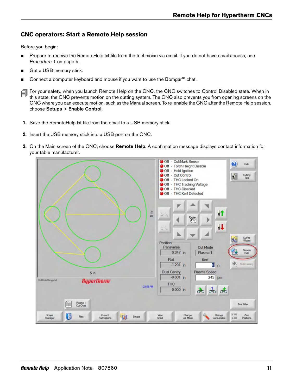## <span id="page-10-0"></span>**CNC operators: Start a Remote Help session**

Before you begin:

- **Prepare to receive the RemoteHelp.txt file from the technician via email. If you do not have email access, see** [Procedure 1](#page-4-0) on page 5.
- Get a USB memory stick.
- Connect a computer keyboard and mouse if you want to use the Bomgar<sup>™</sup> chat.
- For your safety, when you launch Remote Help on the CNC, the CNC switches to Control Disabled state. When in this state, the CNC prevents motion on the cutting system. The CNC also prevents you from opening screens on the CNC where you can execute motion, such as the Manual screen. To re-enable the CNC after the Remote Help session, choose Setups > Enable Control.
- 1. Save the RemoteHelp.txt file from the email to a USB memory stick.
- 2. Insert the USB memory stick into a USB port on the CNC.
- **3.** On the Main screen of the CNC, choose **Remote Help**. A confirmation message displays contact information for your table manufacturer.

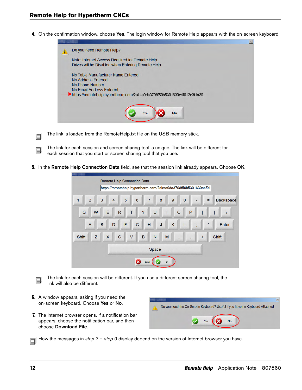4. On the confirmation window, choose Yes. The login window for Remote Help appears with the on-screen keyboard.

| Do you need Remote Help?                                               |  |
|------------------------------------------------------------------------|--|
| Note: Internet Access Required for Remote Help.                        |  |
| Drives will be Disabled when Entering Remote Help.                     |  |
| No Table Manufacturer Name Entered                                     |  |
| No Address Entered                                                     |  |
| No Phone Number                                                        |  |
| No Email Address Entered                                               |  |
| https://remotehelp.hypertherm.com/?ak=a9da3708f50b5301630e4f012e3f1a30 |  |
|                                                                        |  |
|                                                                        |  |
| Yes<br><b>No</b>                                                       |  |
|                                                                        |  |
|                                                                        |  |

- $\text{min}$  The link is loaded from the RemoteHelp.txt file on the USB memory stick.
- The link for each session and screen sharing tool is unique. The link will be different for<br>
state that we have a state of the series of the state of the transverse. each session that you start or screen sharing tool that you use.
- 5. In the Remote Help Connection Data field, see that the session link already appears. Choose OK.

|                     |   |    | Remote Help Connection Data |              |   |        |                 |   |                |       |              |                                                                |         |              |              |   |                               |   |                  |
|---------------------|---|----|-----------------------------|--------------|---|--------|-----------------|---|----------------|-------|--------------|----------------------------------------------------------------|---------|--------------|--------------|---|-------------------------------|---|------------------|
|                     |   |    |                             |              |   |        |                 |   |                |       |              | https://remotehelp.hypertherm.com/?ak=a9da3708f50b5301630e4f01 |         |              |              |   |                               |   |                  |
| $\overline{2}$<br>1 | 3 |    | $\overline{4}$              |              | 5 |        | $6\phantom{1}6$ |   | $\overline{7}$ |       | 8            |                                                                | $9$     |              | $\mathbf{0}$ |   |                               | Ξ | <b>Backspace</b> |
| W<br>$\mathbf Q$    |   | E. |                             | $\mathsf{R}$ |   | T      |                 | Y |                | U     |              | T                                                              |         | $\circ$      |              | P |                               |   | 1                |
| $\overline{A}$      | S |    | D                           |              | F |        | G               |   | H              |       | $\mathsf{J}$ |                                                                | $\sf K$ |              | L            |   | ٠<br>$\overline{\phantom{a}}$ | ٠ | Enter            |
| Z<br><b>Shift</b>   |   | X  |                             | $\mathbf C$  |   | $\vee$ |                 | B |                | N     |              | M                                                              |         | $\mathbf{r}$ |              |   |                               |   | <b>Shift</b>     |
|                     |   |    |                             |              |   |        |                 |   |                | Space |              |                                                                |         |              |              |   |                               |   |                  |
|                     |   |    |                             |              |   |        |                 |   | Cancel         |       |              | OK                                                             |         |              |              |   |                               |   |                  |

The link for each session will be different. If you use a different screen sharing tool, the link will also be different.

- 6. A window appears, asking if you need the on-screen keyboard. Choose Yes or No.
- <span id="page-11-0"></span>7. The Internet browser opens. If a notification bar appears, choose the notification bar, and then choose Download File.



How the messages in step  $7$  – [step 9](#page-12-0) display depend on the version of Internet browser you have.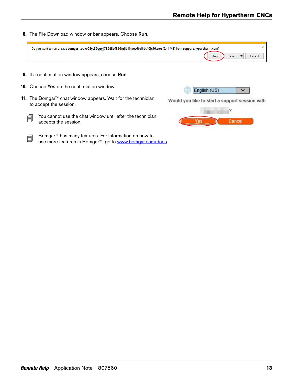8. The File Download window or bar appears. Choose Run.

| Do you want to run or save bomgar-scc-w08yc30ggyjj785d8ef856fgijd1ixyey6fej1dc40jc90.exe (2.41 MB) from support.hypertherm.com? |                       |
|---------------------------------------------------------------------------------------------------------------------------------|-----------------------|
|                                                                                                                                 | Save<br>Run<br>Cancel |
| 9. If a confirmation window appears, choose Run.                                                                                |                       |
|                                                                                                                                 |                       |

<span id="page-12-0"></span>11. The Bomgar™ chat window appears. Wait for the technician to accept the session.



- $\frac{1}{\sqrt{2}}$  You cannot use the chat window until after the technician accepts the session.
- Bomgar<sup>™</sup> has many features. For information on how to use more features in Bomgar™, go to www.bomgar.com/docs.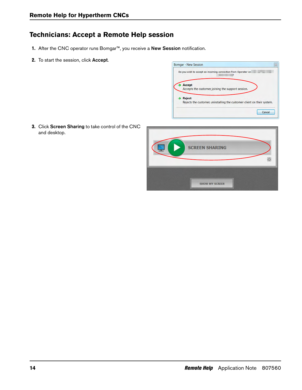## <span id="page-13-0"></span>**Technicians: Accept a Remote Help session**

- 1. After the CNC operator runs Bomgar™, you receive a New Session notification.
- 2. To start the session, click Accept.



3. Click Screen Sharing to take control of the CNC and desktop.

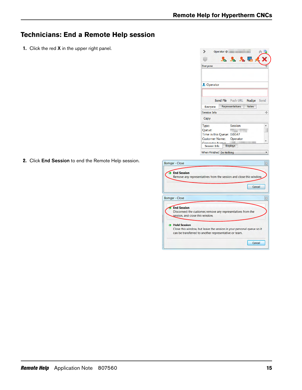## **Technicians: End a Remote Help session**

1. Click the red **X** in the upper right panel.



2. Click End Session to end the Remote Help session.

| <b>Bomgar - Close</b><br>$\Sigma$                                                                                                                     |
|-------------------------------------------------------------------------------------------------------------------------------------------------------|
| <b>End Session</b><br>Remove any representatives from the session and close this window.                                                              |
| Cancel                                                                                                                                                |
| $\Sigma$<br>Bomgar - Close                                                                                                                            |
| <b>End Session</b><br>Disconnect the customer, remove any representatives from the<br>session, and close this window.                                 |
| <b>Hold Session</b><br>Close this window, but leave the session in your personal queue so it<br>can be transferred to another representative or team. |
| Cancel                                                                                                                                                |
|                                                                                                                                                       |